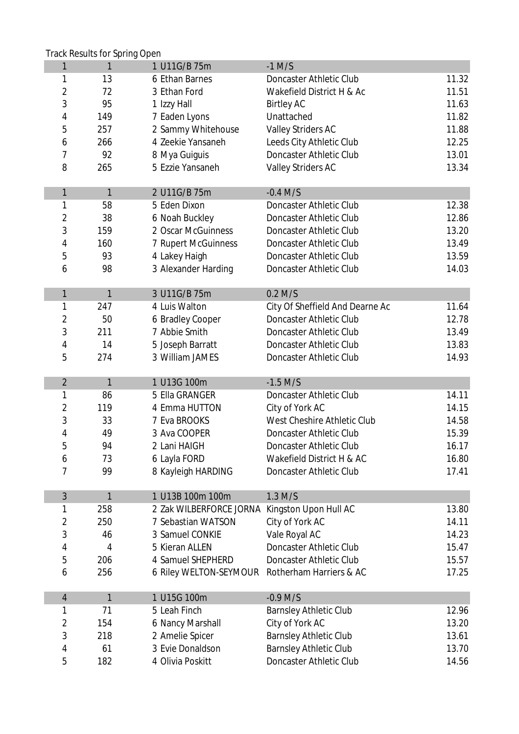|                | <b>Track Results for Spring Open</b> |                                                |                                    |       |
|----------------|--------------------------------------|------------------------------------------------|------------------------------------|-------|
| 1              | 1                                    | 1 U11G/B 75m                                   | $-1$ M/S                           |       |
| 1              | 13                                   | 6 Ethan Barnes                                 | <b>Doncaster Athletic Club</b>     | 11.32 |
| $\overline{2}$ | 72                                   | 3 Ethan Ford                                   | Wakefield District H & Ac          | 11.51 |
| 3              | 95                                   | 1 Izzy Hall                                    | <b>Birtley AC</b>                  | 11.63 |
| 4              | 149                                  | 7 Eaden Lyons                                  | Unattached                         | 11.82 |
| 5              | 257                                  | 2 Sammy Whitehouse                             | <b>Valley Striders AC</b>          | 11.88 |
| 6              | 266                                  | 4 Zeekie Yansaneh                              | Leeds City Athletic Club           | 12.25 |
| 7              | 92                                   | 8 Mya Guiguis                                  | <b>Doncaster Athletic Club</b>     | 13.01 |
| 8              | 265                                  | 5 Ezzie Yansaneh                               | <b>Valley Striders AC</b>          | 13.34 |
|                |                                      |                                                |                                    |       |
| $\mathbf{1}$   | 1                                    | 2 U11G/B 75m                                   | $-0.4$ M/S                         |       |
| 1              | 58                                   | 5 Eden Dixon                                   | <b>Doncaster Athletic Club</b>     | 12.38 |
| $\overline{2}$ | 38                                   | 6 Noah Buckley                                 | <b>Doncaster Athletic Club</b>     | 12.86 |
| 3              | 159                                  | 2 Oscar McGuinness                             | <b>Doncaster Athletic Club</b>     | 13.20 |
| 4              | 160                                  | <b>7 Rupert McGuinness</b>                     | <b>Doncaster Athletic Club</b>     | 13.49 |
| 5              | 93                                   | 4 Lakey Haigh                                  | <b>Doncaster Athletic Club</b>     | 13.59 |
| 6              | 98                                   | 3 Alexander Harding                            | <b>Doncaster Athletic Club</b>     | 14.03 |
|                |                                      |                                                |                                    |       |
| $\mathbf{1}$   | $\mathbf{1}$                         | 3 U11G/B 75m                                   | $0.2$ M/S                          |       |
| 1              | 247                                  | 4 Luis Walton                                  | City Of Sheffield And Dearne Ac    | 11.64 |
| 2              | 50                                   | 6 Bradley Cooper                               | <b>Doncaster Athletic Club</b>     | 12.78 |
| 3              | 211                                  | 7 Abbie Smith                                  | <b>Doncaster Athletic Club</b>     | 13.49 |
| 4              | 14                                   | 5 Joseph Barratt                               | <b>Doncaster Athletic Club</b>     | 13.83 |
| 5              | 274                                  | 3 William JAMES                                | <b>Doncaster Athletic Club</b>     | 14.93 |
|                |                                      |                                                |                                    |       |
| $\overline{2}$ | 1                                    | 1 U13G 100m                                    | $-1.5$ M/S                         |       |
| 1              | 86                                   | 5 Ella GRANGER                                 | <b>Doncaster Athletic Club</b>     | 14.11 |
| $\overline{2}$ | 119                                  | 4 Emma HUTTON                                  | City of York AC                    | 14.15 |
| 3              | 33                                   | 7 Eva BROOKS                                   | <b>West Cheshire Athletic Club</b> | 14.58 |
| 4              | 49                                   | 3 Ava COOPER                                   | <b>Doncaster Athletic Club</b>     | 15.39 |
| 5              | 94                                   | 2 Lani HAIGH                                   | <b>Doncaster Athletic Club</b>     | 16.17 |
| 6              | 73                                   | 6 Layla FORD                                   | Wakefield District H & AC          | 16.80 |
| 7              | 99                                   | 8 Kayleigh HARDING                             | <b>Doncaster Athletic Club</b>     | 17.41 |
|                |                                      |                                                |                                    |       |
| 3              | 1                                    | 1 U13B 100m 100m                               | $1.3$ M/S                          |       |
| 1              | 258                                  | 2 Zak WILBERFORCE JORNA                        | Kingston Upon Hull AC              | 13.80 |
| $\overline{2}$ | 250                                  | 7 Sebastian WATSON                             | City of York AC                    | 14.11 |
| 3              | 46                                   | 3 Samuel CONKIE                                | Vale Royal AC                      | 14.23 |
| 4              | 4                                    | 5 Kieran ALLEN                                 | Doncaster Athletic Club            | 15.47 |
| 5              | 206                                  | 4 Samuel SHEPHERD                              | <b>Doncaster Athletic Club</b>     | 15.57 |
| 6              | 256                                  | 6 Riley WELTON-SEYMOUR Rotherham Harriers & AC |                                    | 17.25 |
|                |                                      |                                                |                                    |       |
| $\overline{4}$ | 1                                    | 1 U15G 100m                                    | $-0.9$ M/S                         |       |
| 1              | 71                                   | 5 Leah Finch                                   | <b>Barnsley Athletic Club</b>      | 12.96 |
| 2              | 154                                  | <b>6 Nancy Marshall</b>                        | City of York AC                    | 13.20 |
| 3              | 218                                  | 2 Amelie Spicer                                | <b>Barnsley Athletic Club</b>      | 13.61 |
| 4              | 61                                   | 3 Evie Donaldson                               | <b>Barnsley Athletic Club</b>      | 13.70 |
| 5              | 182                                  | 4 Olivia Poskitt                               | <b>Doncaster Athletic Club</b>     | 14.56 |
|                |                                      |                                                |                                    |       |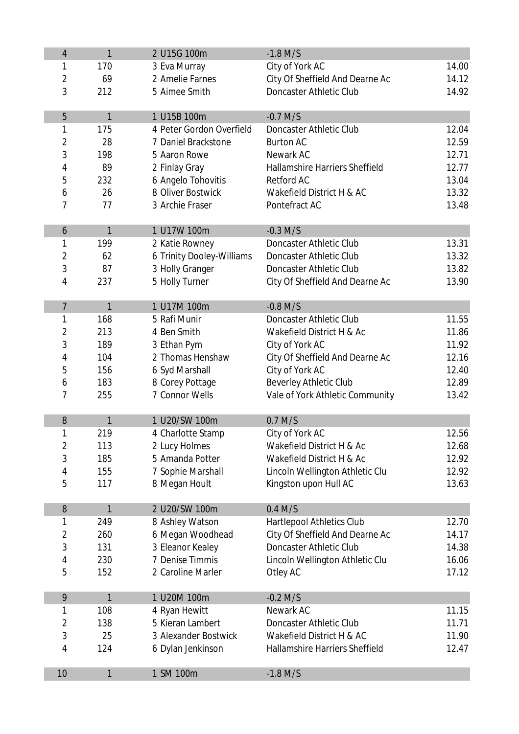| 4                       | $\mathbf{1}$ | 2 U15G 100m               | $-1.8$ M/S                            |       |
|-------------------------|--------------|---------------------------|---------------------------------------|-------|
| 1                       | 170          | 3 Eva Murray              | City of York AC                       | 14.00 |
| $\overline{2}$          | 69           | 2 Amelie Farnes           | City Of Sheffield And Dearne Ac       | 14.12 |
| 3                       | 212          | 5 Aimee Smith             | <b>Doncaster Athletic Club</b>        | 14.92 |
|                         |              |                           |                                       |       |
| 5                       | $\mathbf{1}$ | 1 U15B 100m               | $-0.7$ M/S                            |       |
| 1                       | 175          | 4 Peter Gordon Overfield  | <b>Doncaster Athletic Club</b>        | 12.04 |
| $\overline{\mathbf{c}}$ | 28           | 7 Daniel Brackstone       | <b>Burton AC</b>                      | 12.59 |
| 3                       | 198          | 5 Aaron Rowe              | Newark AC                             | 12.71 |
| 4                       | 89           | 2 Finlay Gray             | <b>Hallamshire Harriers Sheffield</b> | 12.77 |
| 5                       | 232          | 6 Angelo Tohovitis        | <b>Retford AC</b>                     | 13.04 |
| 6                       | 26           | 8 Oliver Bostwick         | Wakefield District H & AC             | 13.32 |
| 7                       | 77           | 3 Archie Fraser           | Pontefract AC                         | 13.48 |
|                         |              |                           |                                       |       |
| 6                       | 1            | 1 U17W 100m               | $-0.3$ M/S                            |       |
| 1                       | 199          | 2 Katie Rowney            | <b>Doncaster Athletic Club</b>        | 13.31 |
| $\overline{2}$          | 62           | 6 Trinity Dooley-Williams | <b>Doncaster Athletic Club</b>        | 13.32 |
| 3                       | 87           | 3 Holly Granger           | <b>Doncaster Athletic Club</b>        | 13.82 |
| 4                       | 237          | 5 Holly Turner            | City Of Sheffield And Dearne Ac       | 13.90 |
|                         |              |                           |                                       |       |
| $\overline{7}$          | $\mathbf{1}$ | 1 U17M 100m               | $-0.8$ M/S                            |       |
| 1                       | 168          | 5 Rafi Munir              | <b>Doncaster Athletic Club</b>        | 11.55 |
| 2                       | 213          | 4 Ben Smith               | Wakefield District H & Ac             | 11.86 |
| 3                       | 189          | 3 Ethan Pym               | City of York AC                       | 11.92 |
| 4                       | 104          | 2 Thomas Henshaw          | City Of Sheffield And Dearne Ac       | 12.16 |
| 5                       | 156          | 6 Syd Marshall            | City of York AC                       | 12.40 |
| 6                       | 183          | 8 Corey Pottage           | <b>Beverley Athletic Club</b>         | 12.89 |
| 7                       | 255          | 7 Connor Wells            | Vale of York Athletic Community       | 13.42 |
| 8                       | 1            | 1 U20/SW 100m             | $0.7$ M/S                             |       |
| 1                       | 219          | 4 Charlotte Stamp         | City of York AC                       | 12.56 |
| 2                       | 113          | 2 Lucy Holmes             | Wakefield District H & Ac             | 12.68 |
| 3                       | 185          | 5 Amanda Potter           | Wakefield District H & Ac             | 12.92 |
| 4                       | 155          | 7 Sophie Marshall         | Lincoln Wellington Athletic Clu       | 12.92 |
| 5                       | 117          | 8 Megan Hoult             | Kingston upon Hull AC                 | 13.63 |
|                         |              |                           |                                       |       |
| 8                       | 1            | 2 U20/SW 100m             | $0.4$ M/S                             |       |
| 1                       | 249          | 8 Ashley Watson           | <b>Hartlepool Athletics Club</b>      | 12.70 |
| $\overline{\mathbf{c}}$ | 260          | 6 Megan Woodhead          | City Of Sheffield And Dearne Ac       | 14.17 |
| 3                       | 131          | 3 Eleanor Kealey          | <b>Doncaster Athletic Club</b>        | 14.38 |
| 4                       | 230          | 7 Denise Timmis           | Lincoln Wellington Athletic Clu       | 16.06 |
| 5                       | 152          | 2 Caroline Marler         | Otley AC                              | 17.12 |
|                         |              |                           |                                       |       |
| 9                       | 1            | 1 U20M 100m               | $-0.2$ M/S                            |       |
| 1                       | 108          | 4 Ryan Hewitt             | Newark AC                             | 11.15 |
| 2                       | 138          | 5 Kieran Lambert          | <b>Doncaster Athletic Club</b>        | 11.71 |
| 3                       | 25           | 3 Alexander Bostwick      | Wakefield District H & AC             | 11.90 |
| 4                       | 124          | 6 Dylan Jenkinson         | Hallamshire Harriers Sheffield        | 12.47 |
| 10                      | 1            | 1 SM 100m                 | $-1.8$ M/S                            |       |
|                         |              |                           |                                       |       |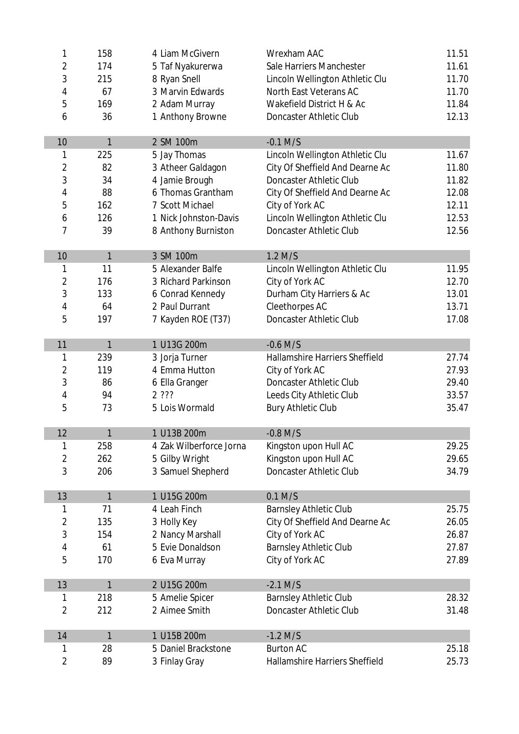| 1                       | 158          | 4 Liam McGivern         | <b>Wrexham AAC</b>                    | 11.51 |  |  |
|-------------------------|--------------|-------------------------|---------------------------------------|-------|--|--|
| 2                       | 174          | 5 Taf Nyakurerwa        | Sale Harriers Manchester              |       |  |  |
| 3                       | 215          | 8 Ryan Snell            | Lincoln Wellington Athletic Clu       |       |  |  |
| 4                       | 67           | 3 Marvin Edwards        | <b>North East Veterans AC</b>         | 11.70 |  |  |
| 5                       | 169          | 2 Adam Murray           | Wakefield District H & Ac             | 11.84 |  |  |
| 6                       | 36           | 1 Anthony Browne        | <b>Doncaster Athletic Club</b>        | 12.13 |  |  |
| 10                      | 1            | 2 SM 100m               | $-0.1$ M/S                            |       |  |  |
| 1                       | 225          | 5 Jay Thomas            | Lincoln Wellington Athletic Clu       | 11.67 |  |  |
| $\overline{2}$          | 82           | 3 Atheer Galdagon       | City Of Sheffield And Dearne Ac       | 11.80 |  |  |
| 3                       | 34           | 4 Jamie Brough          | <b>Doncaster Athletic Club</b>        | 11.82 |  |  |
| 4                       | 88           | 6 Thomas Grantham       | City Of Sheffield And Dearne Ac       | 12.08 |  |  |
| 5                       | 162          | 7 Scott Michael         | City of York AC                       | 12.11 |  |  |
| 6                       | 126          | 1 Nick Johnston-Davis   | Lincoln Wellington Athletic Clu       | 12.53 |  |  |
| 7                       | 39           | 8 Anthony Burniston     | <b>Doncaster Athletic Club</b>        | 12.56 |  |  |
| 10                      | 1            | 3 SM 100m               | $1.2$ M/S                             |       |  |  |
| 1                       | 11           | 5 Alexander Balfe       | Lincoln Wellington Athletic Clu       | 11.95 |  |  |
| $\overline{2}$          | 176          | 3 Richard Parkinson     | City of York AC                       | 12.70 |  |  |
| 3                       | 133          | 6 Conrad Kennedy        | Durham City Harriers & Ac             | 13.01 |  |  |
| 4                       | 64           | 2 Paul Durrant          | <b>Cleethorpes AC</b>                 | 13.71 |  |  |
| 5                       | 197          | 7 Kayden ROE (T37)      | <b>Doncaster Athletic Club</b>        | 17.08 |  |  |
| 11                      | 1            | 1 U13G 200m             | $-0.6$ M/S                            |       |  |  |
| 1                       | 239          | 3 Jorja Turner          | <b>Hallamshire Harriers Sheffield</b> | 27.74 |  |  |
| $\overline{\mathbf{c}}$ | 119          | 4 Emma Hutton           | City of York AC                       | 27.93 |  |  |
| 3                       | 86           | 6 Ella Granger          | <b>Doncaster Athletic Club</b>        | 29.40 |  |  |
| 4                       | 94           | 2 ???                   | Leeds City Athletic Club              | 33.57 |  |  |
| 5                       | 73           | 5 Lois Wormald          | <b>Bury Athletic Club</b>             | 35.47 |  |  |
| 12                      | 1            | 1 U13B 200m             | $-0.8$ M/S                            |       |  |  |
| 1                       | 258          | 4 Zak Wilberforce Jorna | Kingston upon Hull AC                 | 29.25 |  |  |
| 2                       | 262          | 5 Gilby Wright          | Kingston upon Hull AC                 | 29.65 |  |  |
| 3                       | 206          | 3 Samuel Shepherd       | <b>Doncaster Athletic Club</b>        | 34.79 |  |  |
| 13                      | 1            | 1 U15G 200m             | $0.1$ M/S                             |       |  |  |
| 1                       | 71           | 4 Leah Finch            | <b>Barnsley Athletic Club</b>         | 25.75 |  |  |
| $\overline{\mathbf{c}}$ | 135          | 3 Holly Key             | City Of Sheffield And Dearne Ac       | 26.05 |  |  |
| 3                       | 154          | 2 Nancy Marshall        | City of York AC                       | 26.87 |  |  |
| 4                       | 61           | 5 Evie Donaldson        | <b>Barnsley Athletic Club</b>         | 27.87 |  |  |
| 5                       | 170          | 6 Eva Murray            | City of York AC                       | 27.89 |  |  |
| 13                      | $\mathbf{1}$ | 2 U15G 200m             | $-2.1$ M/S                            |       |  |  |
| 1                       | 218          | 5 Amelie Spicer         | <b>Barnsley Athletic Club</b>         | 28.32 |  |  |
| $\overline{2}$          | 212          | 2 Aimee Smith           | <b>Doncaster Athletic Club</b>        | 31.48 |  |  |
| 14                      | $\mathbf{1}$ | 1 U15B 200m             | $-1.2$ M/S                            |       |  |  |
| 1                       | 28           | 5 Daniel Brackstone     | <b>Burton AC</b>                      | 25.18 |  |  |
| $\overline{2}$          | 89           | 3 Finlay Gray           | <b>Hallamshire Harriers Sheffield</b> | 25.73 |  |  |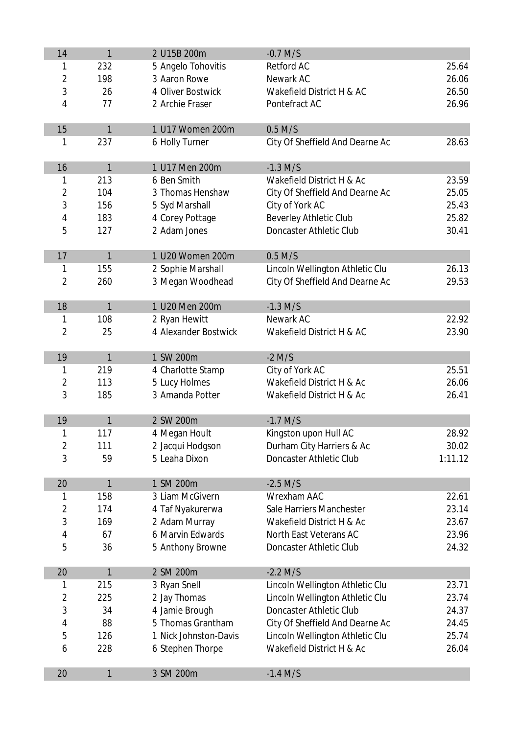| 14                      | 1   | 2 U15B 200m           | $-0.7$ M/S                      |         |
|-------------------------|-----|-----------------------|---------------------------------|---------|
| 1                       | 232 | 5 Angelo Tohovitis    | <b>Retford AC</b>               | 25.64   |
| $\overline{2}$          | 198 | 3 Aaron Rowe          | Newark AC                       | 26.06   |
| 3                       | 26  | 4 Oliver Bostwick     | Wakefield District H & AC       | 26.50   |
| 4                       | 77  | 2 Archie Fraser       | Pontefract AC                   | 26.96   |
|                         |     |                       |                                 |         |
| 15                      | 1   | 1 U17 Women 200m      | $0.5$ M/S                       |         |
| 1                       | 237 | 6 Holly Turner        | City Of Sheffield And Dearne Ac | 28.63   |
|                         |     |                       |                                 |         |
| 16                      | 1   | 1 U17 Men 200m        | $-1.3$ M/S                      |         |
| 1                       | 213 | 6 Ben Smith           | Wakefield District H & Ac       | 23.59   |
| $\overline{\mathbf{c}}$ | 104 | 3 Thomas Henshaw      | City Of Sheffield And Dearne Ac | 25.05   |
| 3                       | 156 | 5 Syd Marshall        | City of York AC                 | 25.43   |
| 4                       | 183 | 4 Corey Pottage       | <b>Beverley Athletic Club</b>   | 25.82   |
| 5                       | 127 | 2 Adam Jones          | <b>Doncaster Athletic Club</b>  | 30.41   |
| 17                      | 1   | 1 U20 Women 200m      | $0.5$ M/S                       |         |
| 1                       | 155 | 2 Sophie Marshall     | Lincoln Wellington Athletic Clu | 26.13   |
| $\overline{2}$          | 260 |                       | City Of Sheffield And Dearne Ac | 29.53   |
|                         |     | 3 Megan Woodhead      |                                 |         |
| 18                      | 1   | 1 U20 Men 200m        | $-1.3$ M/S                      |         |
| 1                       | 108 | 2 Ryan Hewitt         | Newark AC                       | 22.92   |
| $\overline{2}$          | 25  | 4 Alexander Bostwick  | Wakefield District H & AC       | 23.90   |
|                         |     |                       |                                 |         |
| 19                      | 1   | 1 SW 200m             | $-2$ M/S                        |         |
| 1                       | 219 | 4 Charlotte Stamp     | City of York AC                 | 25.51   |
| $\overline{\mathbf{c}}$ | 113 | 5 Lucy Holmes         | Wakefield District H & Ac       | 26.06   |
| 3                       | 185 | 3 Amanda Potter       | Wakefield District H & Ac       | 26.41   |
|                         |     |                       |                                 |         |
| 19                      | 1   | 2 SW 200m             | $-1.7$ M/S                      |         |
| 1                       | 117 | 4 Megan Hoult         | Kingston upon Hull AC           | 28.92   |
| $\overline{2}$          | 111 | 2 Jacqui Hodgson      | Durham City Harriers & Ac       | 30.02   |
| 3                       | 59  | 5 Leaha Dixon         | <b>Doncaster Athletic Club</b>  | 1:11.12 |
| 20                      | 1   | 1 SM 200m             | $-2.5$ M/S                      |         |
| 1                       | 158 | 3 Liam McGivern       | <b>Wrexham AAC</b>              | 22.61   |
| 2                       | 174 | 4 Taf Nyakurerwa      | Sale Harriers Manchester        | 23.14   |
| 3                       | 169 | 2 Adam Murray         | Wakefield District H & Ac       | 23.67   |
| 4                       | 67  | 6 Marvin Edwards      | <b>North East Veterans AC</b>   | 23.96   |
| 5                       | 36  | 5 Anthony Browne      | <b>Doncaster Athletic Club</b>  | 24.32   |
|                         |     |                       |                                 |         |
| 20                      | 1   | 2 SM 200m             | $-2.2$ M/S                      |         |
| 1                       | 215 | 3 Ryan Snell          | Lincoln Wellington Athletic Clu | 23.71   |
| $\overline{2}$          | 225 | 2 Jay Thomas          | Lincoln Wellington Athletic Clu | 23.74   |
| 3                       | 34  | 4 Jamie Brough        | <b>Doncaster Athletic Club</b>  | 24.37   |
| 4                       | 88  | 5 Thomas Grantham     | City Of Sheffield And Dearne Ac | 24.45   |
| 5                       | 126 | 1 Nick Johnston-Davis | Lincoln Wellington Athletic Clu | 25.74   |
| 6                       | 228 | 6 Stephen Thorpe      | Wakefield District H & Ac       | 26.04   |
|                         |     |                       |                                 |         |
| 20                      | 1   | 3 SM 200m             | $-1.4$ M/S                      |         |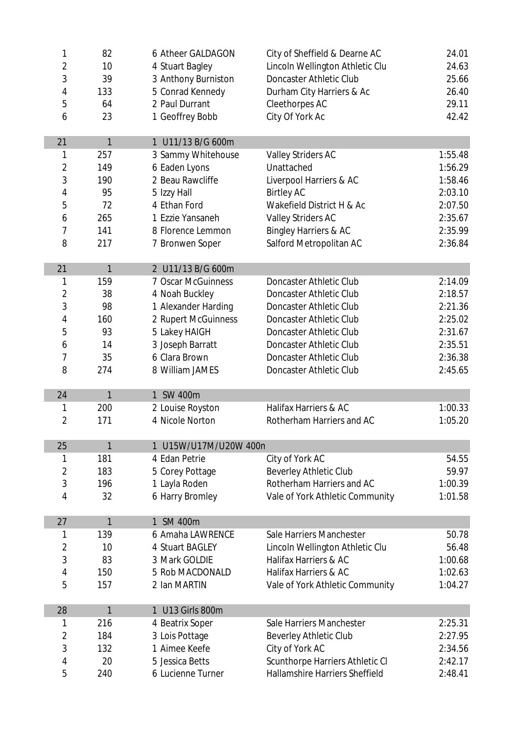| 1              | 82  | 6 Atheer GALDAGON     | City of Sheffield & Dearne AC                                     | 24.01   |
|----------------|-----|-----------------------|-------------------------------------------------------------------|---------|
| 2              | 10  | 4 Stuart Bagley       | Lincoln Wellington Athletic Clu                                   | 24.63   |
| 3              | 39  | 3 Anthony Burniston   | <b>Doncaster Athletic Club</b>                                    | 25.66   |
| 4              | 133 | 5 Conrad Kennedy      | Durham City Harriers & Ac                                         | 26.40   |
| 5              | 64  | 2 Paul Durrant        | <b>Cleethorpes AC</b>                                             | 29.11   |
| 6              | 23  | 1 Geoffrey Bobb       | City Of York Ac                                                   | 42.42   |
| 21             | 1   | 1 U11/13 B/G 600m     |                                                                   |         |
| 1              | 257 | 3 Sammy Whitehouse    | <b>Valley Striders AC</b>                                         | 1:55.48 |
| $\overline{2}$ | 149 | 6 Eaden Lyons         | Unattached                                                        | 1:56.29 |
| 3              | 190 | 2 Beau Rawcliffe      | Liverpool Harriers & AC                                           | 1:58.46 |
| 4              | 95  | 5 Izzy Hall           | <b>Birtley AC</b>                                                 | 2:03.10 |
| 5              | 72  | 4 Ethan Ford          | Wakefield District H & Ac                                         | 2:07.50 |
| 6              | 265 | 1 Ezzie Yansaneh      | <b>Valley Striders AC</b>                                         | 2:35.67 |
| 7              | 141 | 8 Florence Lemmon     | <b>Bingley Harriers &amp; AC</b>                                  | 2:35.99 |
| 8              | 217 | 7 Bronwen Soper       | Salford Metropolitan AC                                           | 2:36.84 |
|                |     |                       |                                                                   |         |
| 21             | 1   | 2 U11/13 B/G 600m     |                                                                   |         |
| 1              | 159 | 7 Oscar McGuinness    | <b>Doncaster Athletic Club</b>                                    | 2:14.09 |
| $\overline{2}$ | 38  | 4 Noah Buckley        | Doncaster Athletic Club                                           | 2:18.57 |
| 3              | 98  | 1 Alexander Harding   | <b>Doncaster Athletic Club</b>                                    | 2:21.36 |
| 4              | 160 | 2 Rupert McGuinness   | <b>Doncaster Athletic Club</b>                                    | 2:25.02 |
| 5              | 93  | 5 Lakey HAIGH         | <b>Doncaster Athletic Club</b>                                    | 2:31.67 |
| 6              | 14  | 3 Joseph Barratt      | Doncaster Athletic Club                                           | 2:35.51 |
| 7              | 35  | 6 Clara Brown         | <b>Doncaster Athletic Club</b>                                    | 2:36.38 |
| 8              | 274 | 8 William JAMES       | <b>Doncaster Athletic Club</b>                                    | 2:45.65 |
| 24             | 1   | 1 SW 400m             |                                                                   |         |
| 1              | 200 | 2 Louise Royston      | <b>Halifax Harriers &amp; AC</b>                                  | 1:00.33 |
| $\overline{2}$ | 171 | 4 Nicole Norton       | Rotherham Harriers and AC                                         | 1:05.20 |
|                |     |                       |                                                                   |         |
| 25             | 1   | 1 U15W/U17M/U20W 400n |                                                                   |         |
| 1              | 181 | 4 Edan Petrie         | City of York AC                                                   | 54.55   |
| $\overline{2}$ | 183 | 5 Corey Pottage       | <b>Beverley Athletic Club</b>                                     | 59.97   |
| 3              | 196 | 1 Layla Roden         | Rotherham Harriers and AC                                         | 1:00.39 |
| 4              | 32  | 6 Harry Bromley       | Vale of York Athletic Community                                   | 1:01.58 |
| 27             | 1   | 1 SM 400m             |                                                                   |         |
| 1              | 139 | 6 Amaha LAWRENCE      | Sale Harriers Manchester                                          | 50.78   |
| 2              | 10  | 4 Stuart BAGLEY       | Lincoln Wellington Athletic Clu                                   | 56.48   |
| 3              | 83  | 3 Mark GOLDIE         | Halifax Harriers & AC                                             | 1:00.68 |
| 4              | 150 | 5 Rob MACDONALD       | Halifax Harriers & AC                                             | 1:02.63 |
| 5              | 157 | 2 Ian MARTIN          | Vale of York Athletic Community                                   | 1:04.27 |
| 28             | 1   | 1 U13 Girls 800m      |                                                                   |         |
| 1              | 216 | 4 Beatrix Soper       | Sale Harriers Manchester                                          | 2:25.31 |
| 2              | 184 | 3 Lois Pottage        | <b>Beverley Athletic Club</b>                                     | 2:27.95 |
| 3              | 132 | 1 Aimee Keefe         | City of York AC                                                   | 2:34.56 |
|                | 20  | 5 Jessica Betts       |                                                                   | 2:42.17 |
| 4              |     |                       | Scunthorpe Harriers Athletic CI<br>Hallamshire Harriers Sheffield |         |
| 5              | 240 | 6 Lucienne Turner     |                                                                   | 2:48.41 |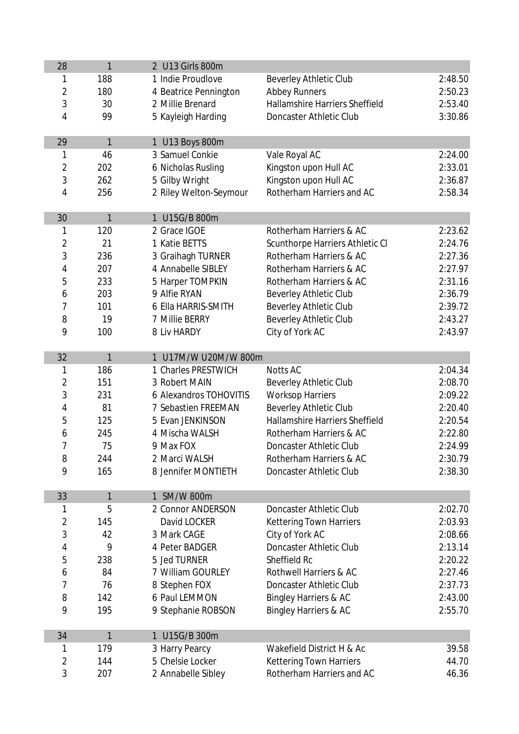| 28             | $\mathbf{1}$ | 2 U13 Girls 800m       |                                       |         |
|----------------|--------------|------------------------|---------------------------------------|---------|
| 1              | 188          | 1 Indie Proudlove      | <b>Beverley Athletic Club</b>         | 2:48.50 |
| $\overline{2}$ | 180          | 4 Beatrice Pennington  | <b>Abbey Runners</b>                  | 2:50.23 |
| 3              | 30           | 2 Millie Brenard       | <b>Hallamshire Harriers Sheffield</b> | 2:53.40 |
| 4              | 99           | 5 Kayleigh Harding     | <b>Doncaster Athletic Club</b>        | 3:30.86 |
|                |              |                        |                                       |         |
| 29             | $\mathbf{1}$ | 1 U13 Boys 800m        |                                       |         |
| 1              | 46           | 3 Samuel Conkie        | Vale Royal AC                         | 2:24.00 |
| 2              | 202          | 6 Nicholas Rusling     | Kingston upon Hull AC                 | 2:33.01 |
| 3              | 262          | 5 Gilby Wright         | Kingston upon Hull AC                 | 2:36.87 |
| 4              | 256          | 2 Riley Welton-Seymour | Rotherham Harriers and AC             | 2:58.34 |
|                |              |                        |                                       |         |
| 30             | 1            | 1 U15G/B 800m          |                                       |         |
| 1              | 120          | 2 Grace IGOE           | Rotherham Harriers & AC               | 2:23.62 |
| $\overline{2}$ | 21           | 1 Katie BETTS          | Scunthorpe Harriers Athletic CI       | 2:24.76 |
| 3              | 236          | 3 Graihagh TURNER      | Rotherham Harriers & AC               | 2:27.36 |
| 4              | 207          | 4 Annabelle SIBLEY     | Rotherham Harriers & AC               | 2:27.97 |
| 5              | 233          | 5 Harper TOMPKIN       | Rotherham Harriers & AC               | 2:31.16 |
| 6              | 203          | 9 Alfie RYAN           | <b>Beverley Athletic Club</b>         | 2:36.79 |
| 7              | 101          | 6 Ella HARRIS-SMITH    | <b>Beverley Athletic Club</b>         | 2:39.72 |
| 8              | 19           | 7 Millie BERRY         | <b>Beverley Athletic Club</b>         | 2:43.27 |
| 9              | 100          | <b>8 Liv HARDY</b>     | City of York AC                       | 2:43.97 |
|                |              |                        |                                       |         |
| 32             | $\mathbf{1}$ | 1 U17M/W U20M/W 800m   |                                       |         |
| 1              | 186          | 1 Charles PRESTWICH    | <b>Notts AC</b>                       | 2:04.34 |
| $\overline{2}$ | 151          | 3 Robert MAIN          | <b>Beverley Athletic Club</b>         | 2:08.70 |
| 3              | 231          | 6 Alexandros TOHOVITIS | <b>Worksop Harriers</b>               | 2:09.22 |
| 4              | 81           | 7 Sebastien FREEMAN    | <b>Beverley Athletic Club</b>         | 2:20.40 |
| 5              | 125          | 5 Evan JENKINSON       | <b>Hallamshire Harriers Sheffield</b> | 2:20.54 |
| 6              | 245          | 4 Mischa WALSH         | Rotherham Harriers & AC               | 2:22.80 |
| 7              | 75           | 9 Max FOX              | <b>Doncaster Athletic Club</b>        | 2:24.99 |
| 8              | 244          | 2 Marci WALSH          | Rotherham Harriers & AC               | 2:30.79 |
| 9              | 165          | 8 Jennifer MONTIETH    | <b>Doncaster Athletic Club</b>        | 2:38.30 |
| 33             | 1            | 1 SM/W 800m            |                                       |         |
| 1              | 5            | 2 Connor ANDERSON      | <b>Doncaster Athletic Club</b>        | 2:02.70 |
| $\overline{2}$ | 145          | David LOCKER           | <b>Kettering Town Harriers</b>        | 2:03.93 |
| 3              | 42           | 3 Mark CAGE            | City of York AC                       | 2:08.66 |
| 4              | 9            | 4 Peter BADGER         | <b>Doncaster Athletic Club</b>        | 2:13.14 |
| 5              | 238          | 5 Jed TURNER           | <b>Sheffield Rc</b>                   | 2:20.22 |
| 6              | 84           | 7 William GOURLEY      | <b>Rothwell Harriers &amp; AC</b>     | 2:27.46 |
| 7              | 76           | 8 Stephen FOX          | <b>Doncaster Athletic Club</b>        | 2:37.73 |
| 8              | 142          | 6 Paul LEMMON          | <b>Bingley Harriers &amp; AC</b>      | 2:43.00 |
| 9              | 195          | 9 Stephanie ROBSON     | <b>Bingley Harriers &amp; AC</b>      | 2:55.70 |
|                |              |                        |                                       |         |
| 34             | $\mathbf{1}$ | 1 U15G/B 300m          |                                       |         |
| 1              | 179          | 3 Harry Pearcy         | Wakefield District H & Ac             | 39.58   |
| $\overline{2}$ | 144          | 5 Chelsie Locker       | <b>Kettering Town Harriers</b>        | 44.70   |
| 3              | 207          | 2 Annabelle Sibley     | Rotherham Harriers and AC             | 46.36   |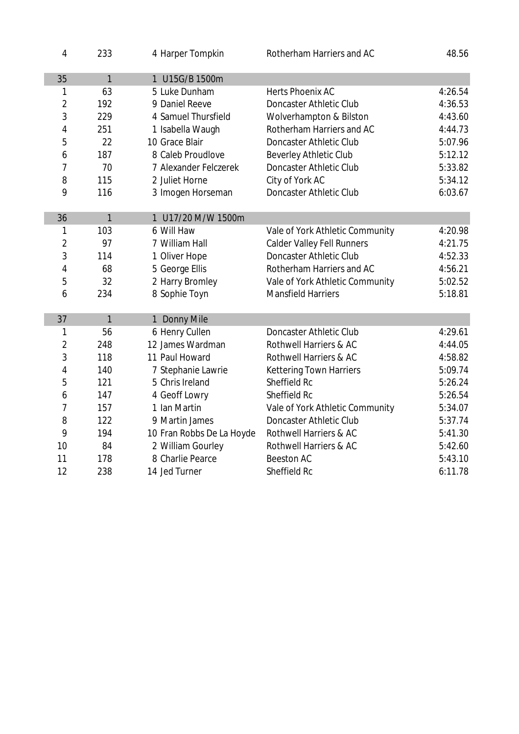| 4              | 233          | 4 Harper Tompkin          | Rotherham Harriers and AC          | 48.56   |
|----------------|--------------|---------------------------|------------------------------------|---------|
| 35             | $\mathbf{1}$ | 1 U15G/B 1500m            |                                    |         |
| 1              | 63           | 5 Luke Dunham             | <b>Herts Phoenix AC</b>            | 4:26.54 |
| $\overline{2}$ | 192          | 9 Daniel Reeve            | <b>Doncaster Athletic Club</b>     | 4:36.53 |
| 3              | 229          | 4 Samuel Thursfield       | <b>Wolverhampton &amp; Bilston</b> | 4:43.60 |
| 4              | 251          | 1 Isabella Waugh          | Rotherham Harriers and AC          | 4:44.73 |
| 5              | 22           | 10 Grace Blair            | <b>Doncaster Athletic Club</b>     | 5:07.96 |
| 6              | 187          | 8 Caleb Proudlove         | <b>Beverley Athletic Club</b>      | 5:12.12 |
| 7              | 70           | 7 Alexander Felczerek     | <b>Doncaster Athletic Club</b>     | 5:33.82 |
| 8              | 115          | 2 Juliet Horne            | City of York AC                    | 5:34.12 |
| 9              | 116          | 3 Imogen Horseman         | <b>Doncaster Athletic Club</b>     | 6:03.67 |
|                |              |                           |                                    |         |
| 36             | $\mathbf{1}$ | 1 U17/20 M/W 1500m        |                                    |         |
| 1              | 103          | 6 Will Haw                | Vale of York Athletic Community    | 4:20.98 |
| $\overline{2}$ | 97           | 7 William Hall            | <b>Calder Valley Fell Runners</b>  | 4:21.75 |
| 3              | 114          | 1 Oliver Hope             | <b>Doncaster Athletic Club</b>     | 4:52.33 |
| 4              | 68           | 5 George Ellis            | Rotherham Harriers and AC          | 4:56.21 |
| 5              | 32           | 2 Harry Bromley           | Vale of York Athletic Community    | 5:02.52 |
| 6              | 234          | 8 Sophie Toyn             | <b>Mansfield Harriers</b>          | 5:18.81 |
|                |              |                           |                                    |         |
| 37             | $\mathbf{1}$ | 1 Donny Mile              |                                    |         |
| 1              | 56           | 6 Henry Cullen            | <b>Doncaster Athletic Club</b>     | 4:29.61 |
| $\overline{2}$ | 248          | 12 James Wardman          | <b>Rothwell Harriers &amp; AC</b>  | 4:44.05 |
| 3              | 118          | 11 Paul Howard            | Rothwell Harriers & AC             | 4:58.82 |
| 4              | 140          | 7 Stephanie Lawrie        | <b>Kettering Town Harriers</b>     | 5:09.74 |
| 5              | 121          | 5 Chris Ireland           | Sheffield Rc                       | 5:26.24 |
| 6              | 147          | 4 Geoff Lowry             | Sheffield Rc                       | 5:26.54 |
| 7              | 157          | 1 Ian Martin              | Vale of York Athletic Community    | 5:34.07 |
| 8              | 122          | 9 Martin James            | <b>Doncaster Athletic Club</b>     | 5:37.74 |
| 9              | 194          | 10 Fran Robbs De La Hoyde | Rothwell Harriers & AC             | 5:41.30 |
| 10             | 84           | 2 William Gourley         | Rothwell Harriers & AC             | 5:42.60 |
| 11             | 178          | 8 Charlie Pearce          | <b>Beeston AC</b>                  | 5:43.10 |
| 12             | 238          | 14 Jed Turner             | <b>Sheffield Rc</b>                | 6:11.78 |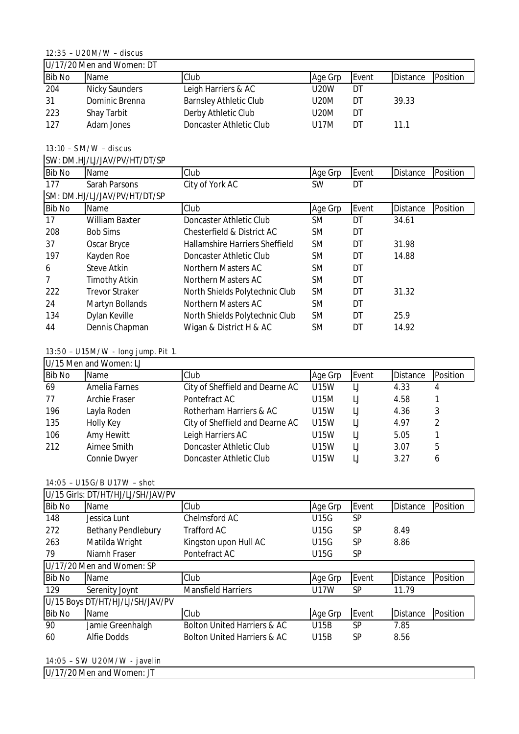## 12:35 – U20M/W – discus

| U/17/20 Men and Women: DT |                       |                               |             |       |                 |          |  |
|---------------------------|-----------------------|-------------------------------|-------------|-------|-----------------|----------|--|
| <b>Bib No</b>             | Name                  | Club                          | Age Grp     | Event | <b>Distance</b> | Position |  |
| 204                       | <b>Nicky Saunders</b> | Leigh Harriers & AC           | <b>U20W</b> | DT    |                 |          |  |
| 31                        | Dominic Brenna        | <b>Barnsley Athletic Club</b> | U20M        | D٦    | 39.33           |          |  |
| 223                       | <b>Shay Tarbit</b>    | Derby Athletic Club           | U20M        | DT    |                 |          |  |
| 127                       | Adam Jones            | Doncaster Athletic Club       | U17M        | DI    | 11.1            |          |  |

13:10 – SM/W – discus

SW: DM.HJ/LJ/JAV/PV/HT/DT/SP

| <b>Bib No</b>  | Name                         | Club                           | Age Grp   | Event | <b>Distance</b> | Position |
|----------------|------------------------------|--------------------------------|-----------|-------|-----------------|----------|
| 177            | <b>Sarah Parsons</b>         | City of York AC                | <b>SW</b> | DT    |                 |          |
|                | SM: DM.HJ/LJ/JAV/PV/HT/DT/SP |                                |           |       |                 |          |
| <b>Bib No</b>  | <b>Name</b>                  | Club                           | Age Grp   | Event | Distance        | Position |
| 17             | <b>William Baxter</b>        | Doncaster Athletic Club        | SM        | DT    | 34.61           |          |
| 208            | <b>Bob Sims</b>              | Chesterfield & District AC     | SM        | DT    |                 |          |
| 37             | <b>Oscar Bryce</b>           | Hallamshire Harriers Sheffield | SM        | DT    | 31.98           |          |
| 197            | Kayden Roe                   | Doncaster Athletic Club        | SM        | DT    | 14.88           |          |
| 6              | <b>Steve Atkin</b>           | <b>Northern Masters AC</b>     | SM        | DT    |                 |          |
| $\overline{7}$ | <b>Timothy Atkin</b>         | <b>Northern Masters AC</b>     | SM        | DT    |                 |          |
| 222            | <b>Trevor Straker</b>        | North Shields Polytechnic Club | SM        | DT    | 31.32           |          |
| 24             | <b>Martyn Bollands</b>       | <b>Northern Masters AC</b>     | SM        | DT    |                 |          |
| 134            | Dylan Keville                | North Shields Polytechnic Club | SM        | DT    | 25.9            |          |
| 44             | Dennis Chapman               | Wigan & District H & AC        | SM        | DT    | 14.92           |          |

# 13:50 – U15M/W - long jump. Pit 1.

|               | U/15 Men and Women: LJ |                                 |         |       |                 |          |
|---------------|------------------------|---------------------------------|---------|-------|-----------------|----------|
| <b>Bib No</b> | <b>Name</b>            | Club                            | Age Grp | Event | <b>Distance</b> | Position |
| 69            | <b>Amelia Farnes</b>   | City of Sheffield and Dearne AC | U15W    | IJ    | 4.33            |          |
| 77            | <b>Archie Fraser</b>   | Pontefract AC                   | U15M    | IJ    | 4.58            |          |
| 196           | Layla Roden            | Rotherham Harriers & AC         | U15W    | IJ    | 4.36            | 3        |
| 135           | <b>Holly Key</b>       | City of Sheffield and Dearne AC | U15W    | IJ    | 4.97            | 2        |
| 106           | Amy Hewitt             | Leigh Harriers AC               | U15W    | IJ    | 5.05            |          |
| 212           | Aimee Smith            | Doncaster Athletic Club         | U15W    | IJ    | 3.07            | 5        |
|               | <b>Connie Dwyer</b>    | Doncaster Athletic Club         | U15W    | IJ    | 3.27            | 6        |

#### 14:05 – U15G/B U17W – shot

|               | U/15 Girls: DT/HT/HJ/LJ/SH/JAV/PV |                                        |             |           |                 |          |
|---------------|-----------------------------------|----------------------------------------|-------------|-----------|-----------------|----------|
| <b>Bib No</b> | <b>Name</b>                       | <b>Club</b>                            | Age Grp     | Event     | <b>Distance</b> | Position |
| 148           | Jessica Lunt                      | <b>Chelmsford AC</b>                   | <b>U15G</b> | SP        |                 |          |
| 272           | <b>Bethany Pendlebury</b>         | <b>Trafford AC</b>                     | U15G        | SP        | 8.49            |          |
| 263           | Matilda Wright                    | Kingston upon Hull AC                  | U15G        | SP        | 8.86            |          |
| 79            | Niamh Fraser                      | Pontefract AC                          | U15G        | <b>SP</b> |                 |          |
|               | U/17/20 Men and Women: SP         |                                        |             |           |                 |          |
| <b>Bib No</b> | <b>Name</b>                       | <b>Club</b>                            | Age Grp     | Event     | <b>Distance</b> | Position |
| 129           | Serenity Joynt                    | <b>Mansfield Harriers</b>              | <b>U17W</b> | <b>SP</b> | 11.79           |          |
|               | U/15 Boys DT/HT/HJ/LJ/SH/JAV/PV   |                                        |             |           |                 |          |
| <b>Bib No</b> | <b>Name</b>                       | Club                                   | Age Grp     | Event     | <b>Distance</b> | Position |
| 90            | Jamie Greenhalgh                  | <b>Bolton United Harriers &amp; AC</b> | <b>U15B</b> | SP        | 7.85            |          |
| 60            | <b>Alfie Dodds</b>                | <b>Bolton United Harriers &amp; AC</b> | <b>U15B</b> | <b>SP</b> | 8.56            |          |

14:05 – SW U20M/W - javelin

U/17/20 Men and Women: JT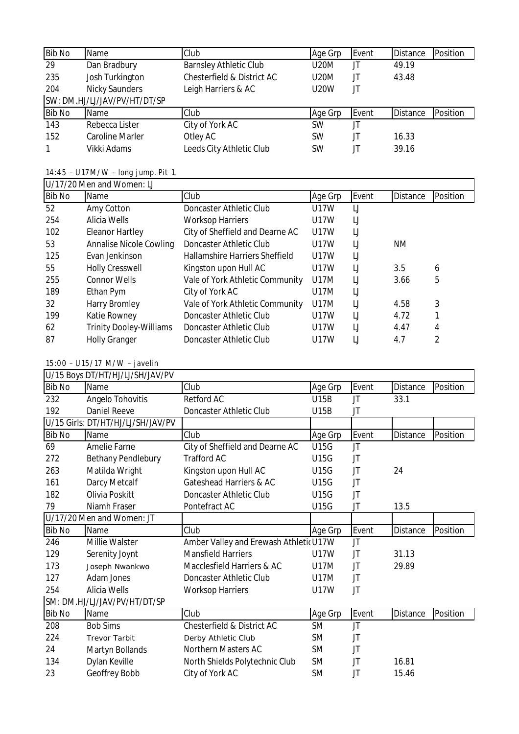| <b>Bib No</b> | Name                         | Club                                  | Age Grp     | Event | <b>Distance</b> | Position |
|---------------|------------------------------|---------------------------------------|-------------|-------|-----------------|----------|
| 29            | Dan Bradbury                 | <b>Barnsley Athletic Club</b>         | <b>U20M</b> | JT    | 49.19           |          |
| 235           | Josh Turkington              | <b>Chesterfield &amp; District AC</b> | <b>U20M</b> | JT    | 43.48           |          |
| 204           | <b>Nicky Saunders</b>        | Leigh Harriers & AC                   | <b>U20W</b> | JT    |                 |          |
|               | SW: DM.HJ/LJ/JAV/PV/HT/DT/SP |                                       |             |       |                 |          |
| <b>Bib No</b> | Name                         | Club                                  | Age Grp     | Event | <b>Distance</b> | Position |
| 143           | Rebecca Lister               | City of York AC                       | <b>SW</b>   | JT    |                 |          |
| 152           | <b>Caroline Marler</b>       | Otley AC                              | <b>SW</b>   | JT    | 16.33           |          |
| 1             | Vikki Adams                  | Leeds City Athletic Club              | <b>SW</b>   | JT    | 39.16           |          |

14:45 – U17M/W - long jump. Pit 1.

|               | U/17/20 Men and Women: LJ      |                                       |             |       |                 |          |
|---------------|--------------------------------|---------------------------------------|-------------|-------|-----------------|----------|
| <b>Bib No</b> | Name                           | Club                                  | Age Grp     | Event | <b>Distance</b> | Position |
| 52            | Amy Cotton                     | Doncaster Athletic Club               | <b>U17W</b> | IJ    |                 |          |
| 254           | <b>Alicia Wells</b>            | <b>Worksop Harriers</b>               | U17W        | IJ    |                 |          |
| 102           | <b>Eleanor Hartley</b>         | City of Sheffield and Dearne AC       | U17W        | IJ    |                 |          |
| 53            | <b>Annalise Nicole Cowling</b> | Doncaster Athletic Club               | <b>U17W</b> | IJ    | ΝM              |          |
| 125           | Evan Jenkinson                 | <b>Hallamshire Harriers Sheffield</b> | U17W        | IJ    |                 |          |
| 55            | <b>Holly Cresswell</b>         | Kingston upon Hull AC                 | U17W        | IJ    | 3.5             | 6        |
| 255           | <b>Connor Wells</b>            | Vale of York Athletic Community       | U17M        | IJ    | 3.66            | 5        |
| 189           | Ethan Pym                      | City of York AC                       | U17M        | IJ    |                 |          |
| 32            | <b>Harry Bromley</b>           | Vale of York Athletic Community       | U17M        | IJ    | 4.58            | 3        |
| 199           | <b>Katie Rowney</b>            | Doncaster Athletic Club               | U17W        | IJ    | 4.72            | 1        |
| 62            | <b>Trinity Dooley-Williams</b> | Doncaster Athletic Club               | U17W        | IJ    | 4.47            | 4        |
| 87            | <b>Holly Granger</b>           | Doncaster Athletic Club               | U17W        | IJ    | 4.7             | 2        |

### 15:00 – U15/17 M/W – javelin

| U/15 Boys DT/HT/HJ/LJ/SH/JAV/PV |                                   |                                        |             |       |                 |          |  |
|---------------------------------|-----------------------------------|----------------------------------------|-------------|-------|-----------------|----------|--|
| <b>Bib No</b>                   | <b>Name</b>                       | Club                                   | Age Grp     | Event | <b>Distance</b> | Position |  |
| 232                             | <b>Angelo Tohovitis</b>           | <b>Retford AC</b>                      | <b>U15B</b> | JT    | 33.1            |          |  |
| 192                             | <b>Daniel Reeve</b>               | <b>Doncaster Athletic Club</b>         | U15B        | JT    |                 |          |  |
|                                 | U/15 Girls: DT/HT/HJ/LJ/SH/JAV/PV |                                        |             |       |                 |          |  |
| <b>Bib No</b>                   | Name                              | Club                                   | Age Grp     | Event | <b>Distance</b> | Position |  |
| 69                              | <b>Amelie Farne</b>               | City of Sheffield and Dearne AC        | <b>U15G</b> | JT    |                 |          |  |
| 272                             | <b>Bethany Pendlebury</b>         | <b>Trafford AC</b>                     | <b>U15G</b> | JT    |                 |          |  |
| 263                             | Matilda Wright                    | Kingston upon Hull AC                  | U15G        | JT    | 24              |          |  |
| 161                             | Darcy Metcalf                     | Gateshead Harriers & AC                | U15G        | JT    |                 |          |  |
| 182                             | Olivia Poskitt                    | <b>Doncaster Athletic Club</b>         | U15G        | JT    |                 |          |  |
| 79                              | Niamh Fraser                      | Pontefract AC                          | <b>U15G</b> | JT    | 13.5            |          |  |
| U/17/20 Men and Women: JT       |                                   |                                        |             |       |                 |          |  |
| <b>Bib No</b>                   | Name                              | Club                                   | Age Grp     | Event | <b>Distance</b> | Position |  |
| 246                             | <b>Millie Walster</b>             | Amber Valley and Erewash Athletic U17W |             | JT    |                 |          |  |
| 129                             | Serenity Joynt                    | <b>Mansfield Harriers</b>              | U17W        | JT    | 31.13           |          |  |
| 173                             | Joseph Nwankwo                    | Macclesfield Harriers & AC             | U17M        | JT    | 29.89           |          |  |
| 127                             | <b>Adam Jones</b>                 | <b>Doncaster Athletic Club</b>         | U17M        | JT    |                 |          |  |
| 254                             | <b>Alicia Wells</b>               | <b>Worksop Harriers</b>                | U17W        | JT    |                 |          |  |
|                                 | SM: DM.HJ/LJ/JAV/PV/HT/DT/SP      |                                        |             |       |                 |          |  |
| <b>Bib No</b>                   | Name                              | Club                                   | Age Grp     | Event | <b>Distance</b> | Position |  |
| 208                             | <b>Bob Sims</b>                   | <b>Chesterfield &amp; District AC</b>  | <b>SM</b>   | JT    |                 |          |  |
| 224                             | <b>Trevor Tarbit</b>              | Derby Athletic Club                    | SM          | JT    |                 |          |  |
| 24                              | Martyn Bollands                   | <b>Northern Masters AC</b>             | SM          | JT    |                 |          |  |
| 134                             | Dylan Keville                     | North Shields Polytechnic Club         | SM          | JT    | 16.81           |          |  |
| 23                              | Geoffrey Bobb                     | City of York AC                        | SM          | JT    | 15.46           |          |  |